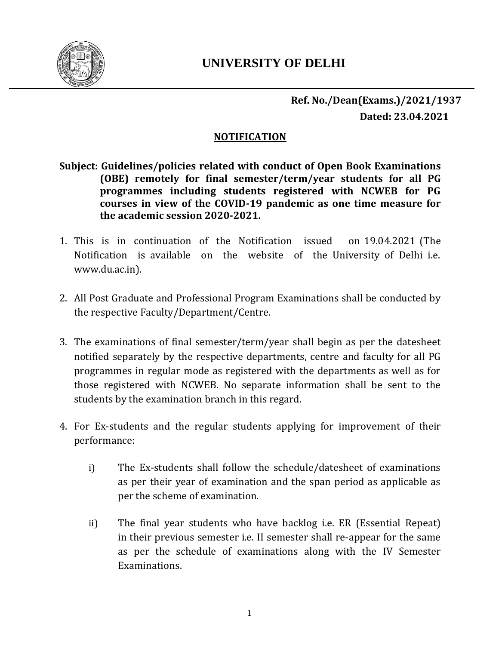

## **NOTIFICATION**

- **Subject: Guidelines/policies related with conduct of Open Book Examinations (OBE) remotely for final semester/term/year students for all PG programmes including students registered with NCWEB for PG courses in view of the COVID-19 pandemic as one time measure for the academic session 2020-2021.**
- 1. This is in continuation of the Notification issued on 19.04.2021 (The Notification is available on the website of the University of Delhi i.e. www.du.ac.in).
- 2. All Post Graduate and Professional Program Examinations shall be conducted by the respective Faculty/Department/Centre.
- 3. The examinations of final semester/term/year shall begin as per the datesheet notified separately by the respective departments, centre and faculty for all PG programmes in regular mode as registered with the departments as well as for those registered with NCWEB. No separate information shall be sent to the students by the examination branch in this regard.
- 4. For Ex-students and the regular students applying for improvement of their performance:
	- i) The Ex-students shall follow the schedule/datesheet of examinations as per their year of examination and the span period as applicable as per the scheme of examination.
	- ii) The final year students who have backlog i.e. ER (Essential Repeat) in their previous semester i.e. II semester shall re-appear for the same as per the schedule of examinations along with the IV Semester Examinations.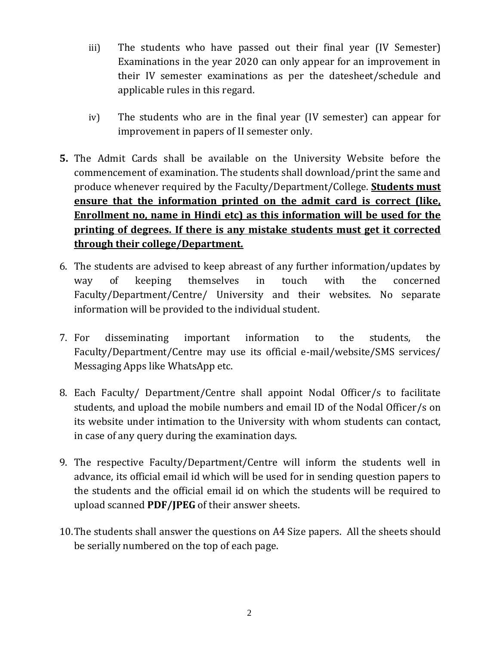- iii) The students who have passed out their final year (IV Semester) Examinations in the year 2020 can only appear for an improvement in their IV semester examinations as per the datesheet/schedule and applicable rules in this regard.
- iv) The students who are in the final year (IV semester) can appear for improvement in papers of II semester only.
- **5.** The Admit Cards shall be available on the University Website before the commencement of examination. The students shall download/print the same and produce whenever required by the Faculty/Department/College. **Students must ensure that the information printed on the admit card is correct (like, Enrollment no, name in Hindi etc) as this information will be used for the printing of degrees. If there is any mistake students must get it corrected through their college/Department.**
- 6. The students are advised to keep abreast of any further information/updates by way of keeping themselves in touch with the concerned Faculty/Department/Centre/ University and their websites. No separate information will be provided to the individual student.
- 7. For disseminating important information to the students, the Faculty/Department/Centre may use its official e-mail/website/SMS services/ Messaging Apps like WhatsApp etc.
- 8. Each Faculty/ Department/Centre shall appoint Nodal Officer/s to facilitate students, and upload the mobile numbers and email ID of the Nodal Officer/s on its website under intimation to the University with whom students can contact, in case of any query during the examination days.
- 9. The respective Faculty/Department/Centre will inform the students well in advance, its official email id which will be used for in sending question papers to the students and the official email id on which the students will be required to upload scanned **PDF/JPEG** of their answer sheets.
- 10.The students shall answer the questions on A4 Size papers. All the sheets should be serially numbered on the top of each page.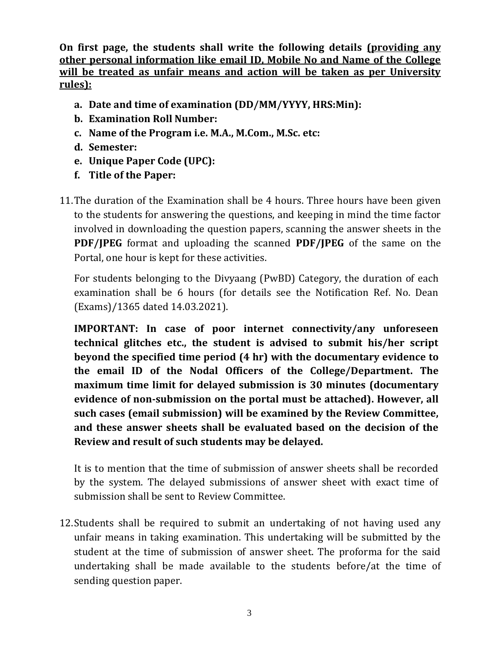**On first page, the students shall write the following details (providing any other personal information like email ID, Mobile No and Name of the College will be treated as unfair means and action will be taken as per University rules):**

- **a. Date and time of examination (DD/MM/YYYY, HRS:Min):**
- **b. Examination Roll Number:**
- **c. Name of the Program i.e. M.A., M.Com., M.Sc. etc:**
- **d. Semester:**
- **e. Unique Paper Code (UPC):**
- **f. Title of the Paper:**
- 11.The duration of the Examination shall be 4 hours. Three hours have been given to the students for answering the questions, and keeping in mind the time factor involved in downloading the question papers, scanning the answer sheets in the **PDF/JPEG** format and uploading the scanned **PDF/JPEG** of the same on the Portal, one hour is kept for these activities.

For students belonging to the Divyaang (PwBD) Category, the duration of each examination shall be 6 hours (for details see the Notification Ref. No. Dean (Exams)/1365 dated 14.03.2021).

**IMPORTANT: In case of poor internet connectivity/any unforeseen technical glitches etc., the student is advised to submit his/her script beyond the specified time period (4 hr) with the documentary evidence to the email ID of the Nodal Officers of the College/Department. The maximum time limit for delayed submission is 30 minutes (documentary evidence of non-submission on the portal must be attached). However, all such cases (email submission) will be examined by the Review Committee, and these answer sheets shall be evaluated based on the decision of the Review and result of such students may be delayed.**

It is to mention that the time of submission of answer sheets shall be recorded by the system. The delayed submissions of answer sheet with exact time of submission shall be sent to Review Committee.

12.Students shall be required to submit an undertaking of not having used any unfair means in taking examination. This undertaking will be submitted by the student at the time of submission of answer sheet. The proforma for the said undertaking shall be made available to the students before/at the time of sending question paper.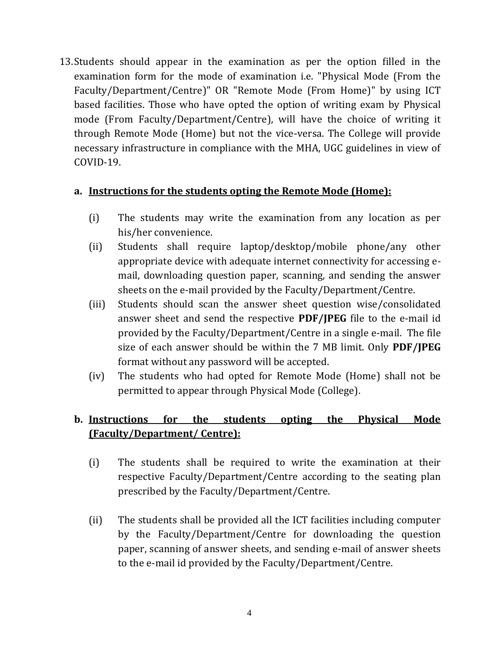13.Students should appear in the examination as per the option filled in the examination form for the mode of examination i.e. "Physical Mode (From the Faculty/Department/Centre)" OR "Remote Mode (From Home)" by using ICT based facilities. Those who have opted the option of writing exam by Physical mode (From Faculty/Department/Centre), will have the choice of writing it through Remote Mode (Home) but not the vice-versa. The College will provide necessary infrastructure in compliance with the MHA, UGC guidelines in view of COVID-19.

## **a. Instructions for the students opting the Remote Mode (Home):**

- (i) The students may write the examination from any location as per his/her convenience.
- (ii) Students shall require laptop/desktop/mobile phone/any other appropriate device with adequate internet connectivity for accessing email, downloading question paper, scanning, and sending the answer sheets on the e-mail provided by the Faculty/Department/Centre.
- (iii) Students should scan the answer sheet question wise/consolidated answer sheet and send the respective **PDF/JPEG** file to the e-mail id provided by the Faculty/Department/Centre in a single e-mail. The file size of each answer should be within the 7 MB limit. Only **PDF/JPEG** format without any password will be accepted.
- (iv) The students who had opted for Remote Mode (Home) shall not be permitted to appear through Physical Mode (College).

## **b. Instructions for the students opting the Physical Mode (Faculty/Department/ Centre):**

- (i) The students shall be required to write the examination at their respective Faculty/Department/Centre according to the seating plan prescribed by the Faculty/Department/Centre.
- (ii) The students shall be provided all the ICT facilities including computer by the Faculty/Department/Centre for downloading the question paper, scanning of answer sheets, and sending e-mail of answer sheets to the e-mail id provided by the Faculty/Department/Centre.